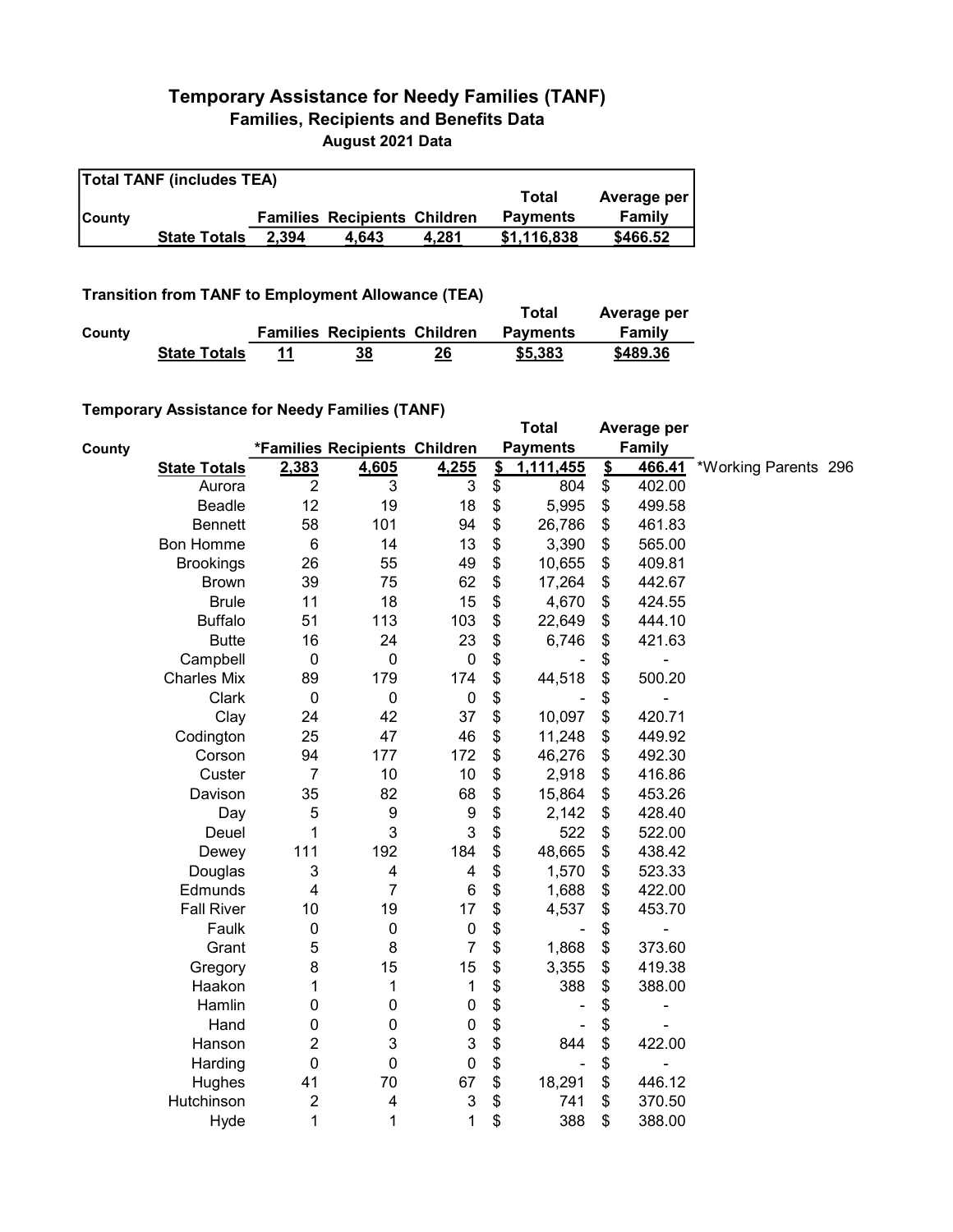## Temporary Assistance for Needy Families (TANF) Families, Recipients and Benefits Data August 2021 Data

| <b>Total TANF (includes TEA)</b> |                     |       |                                     |       |                 |             |  |  |  |
|----------------------------------|---------------------|-------|-------------------------------------|-------|-----------------|-------------|--|--|--|
|                                  |                     |       |                                     |       | Total           | Average per |  |  |  |
| <b>County</b>                    |                     |       | <b>Families Recipients Children</b> |       | <b>Payments</b> | Family      |  |  |  |
|                                  | <b>State Totals</b> | 2.394 | 4.643                               | 4.281 | \$1.116.838     | \$466.52    |  |  |  |

## Transition from TANF to Employment Allowance (TEA)

|        | <b>ITAIISIUUII IIUIII TANT LU EIIIPIUVIIIEIIL AIIUWAIICE (TEA)</b> | Total                               | Average per |                 |          |
|--------|--------------------------------------------------------------------|-------------------------------------|-------------|-----------------|----------|
| County |                                                                    | <b>Families Recipients Children</b> |             | <b>Payments</b> | Family   |
|        | <b>State Totals</b>                                                | 38                                  | 26          | \$5,383         | \$489.36 |

## Temporary Assistance for Needy Families (TANF)

|        | $1$ chiporury Assistance for Necay Families (TANT) |                  |                               |                           |               | <b>Total</b>    |                         | Average per |                      |  |
|--------|----------------------------------------------------|------------------|-------------------------------|---------------------------|---------------|-----------------|-------------------------|-------------|----------------------|--|
| County |                                                    |                  | *Families Recipients Children |                           |               | <b>Payments</b> |                         | Family      |                      |  |
|        | <b>State Totals</b>                                | 2,383            | 4,605                         | 4,255                     | $\frac{1}{2}$ | 1,111,455       | $\overline{\mathbf{S}}$ | 466.41      | *Working Parents 296 |  |
|        | Aurora                                             | $\overline{2}$   | 3                             | 3                         | \$            | 804             | \$                      | 402.00      |                      |  |
|        | <b>Beadle</b>                                      | 12               | 19                            | 18                        | \$            | 5,995           | \$                      | 499.58      |                      |  |
|        | <b>Bennett</b>                                     | 58               | 101                           | 94                        | \$            | 26,786          | \$                      | 461.83      |                      |  |
|        | <b>Bon Homme</b>                                   | $6\phantom{1}6$  | 14                            | 13                        | \$            | 3,390           | \$                      | 565.00      |                      |  |
|        | <b>Brookings</b>                                   | 26               | 55                            | 49                        | \$            | 10,655          | \$                      | 409.81      |                      |  |
|        | <b>Brown</b>                                       | 39               | 75                            | 62                        | \$            | 17,264          | \$                      | 442.67      |                      |  |
|        | <b>Brule</b>                                       | 11               | 18                            | 15                        | \$            | 4,670           | \$                      | 424.55      |                      |  |
|        | <b>Buffalo</b>                                     | 51               | 113                           | 103                       | \$            | 22,649          | \$                      | 444.10      |                      |  |
|        | <b>Butte</b>                                       | 16               | 24                            | 23                        | \$            | 6,746           | \$                      | 421.63      |                      |  |
|        | Campbell                                           | $\boldsymbol{0}$ | $\pmb{0}$                     | $\pmb{0}$                 | \$            |                 | \$                      |             |                      |  |
|        | <b>Charles Mix</b>                                 | 89               | 179                           | 174                       | \$            | 44,518          | \$                      | 500.20      |                      |  |
|        | Clark                                              | $\boldsymbol{0}$ | $\mathbf 0$                   | $\pmb{0}$                 | \$            |                 | \$                      |             |                      |  |
|        | Clay                                               | 24               | 42                            | 37                        | \$            | 10,097          | \$                      | 420.71      |                      |  |
|        | Codington                                          | 25               | 47                            | 46                        | \$            | 11,248          | \$                      | 449.92      |                      |  |
|        | Corson                                             | 94               | 177                           | 172                       | \$            | 46,276          | \$                      | 492.30      |                      |  |
|        | Custer                                             | $\overline{7}$   | 10                            | 10                        | \$            | 2,918           | \$                      | 416.86      |                      |  |
|        | Davison                                            | 35               | 82                            | 68                        | \$            | 15,864          | \$                      | 453.26      |                      |  |
|        | Day                                                | 5                | 9                             | $\boldsymbol{9}$          | \$            | 2,142           | \$                      | 428.40      |                      |  |
|        | Deuel                                              | 1                | 3                             | $\mathbf{3}$              | \$            | 522             | \$                      | 522.00      |                      |  |
|        | Dewey                                              | 111              | 192                           | 184                       | \$            | 48,665          | \$                      | 438.42      |                      |  |
|        | Douglas                                            | 3                | 4                             | 4                         | \$            | 1,570           | \$                      | 523.33      |                      |  |
|        | Edmunds                                            | 4                | $\overline{7}$                | 6                         | \$            | 1,688           | \$                      | 422.00      |                      |  |
|        | <b>Fall River</b>                                  | 10               | 19                            | 17                        | \$            | 4,537           | \$                      | 453.70      |                      |  |
|        | Faulk                                              | $\mathbf 0$      | $\pmb{0}$                     | $\pmb{0}$                 | \$            |                 | \$                      |             |                      |  |
|        | Grant                                              | 5                | 8                             | $\overline{7}$            | \$            | 1,868           | \$                      | 373.60      |                      |  |
|        | Gregory                                            | 8                | 15                            | 15                        | \$            | 3,355           | \$                      | 419.38      |                      |  |
|        | Haakon                                             | 1                | 1                             | 1                         | \$            | 388             | \$                      | 388.00      |                      |  |
|        | Hamlin                                             | 0                | 0                             | $\mathbf 0$               | \$            |                 | \$                      | ۰           |                      |  |
|        | Hand                                               | $\mathbf 0$      | 0                             | $\mathbf 0$               | \$            |                 | \$                      |             |                      |  |
|        | Hanson                                             | $\overline{c}$   | 3                             | $\ensuremath{\mathsf{3}}$ | \$            | 844             | \$                      | 422.00      |                      |  |
|        | Harding                                            | $\mathbf 0$      | 0                             | $\mathbf 0$               | \$            |                 | \$                      |             |                      |  |
|        | Hughes                                             | 41               | 70                            | 67                        | \$            | 18,291          | \$                      | 446.12      |                      |  |
|        | Hutchinson                                         | $\overline{c}$   | $\overline{\mathbf{4}}$       | $\sqrt{3}$                | \$            | 741             | \$                      | 370.50      |                      |  |
|        | Hyde                                               | 1                | 1                             | 1                         | \$            | 388             | \$                      | 388.00      |                      |  |